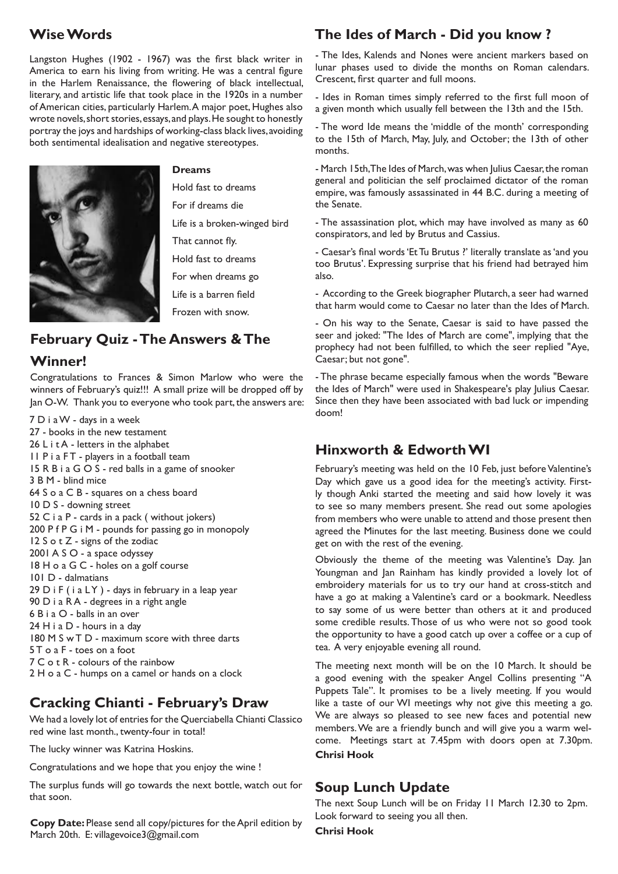# **Wise Words**

Langston Hughes (1902 - 1967) was the first black writer in America to earn his living from writing. He was a central figure in the Harlem Renaissance, the flowering of black intellectual, literary, and artistic life that took place in the 1920s in a number of American cities, particularly Harlem. A major poet, Hughes also wrote novels, short stories, essays, and plays. He sought to honestly portray the joys and hardships of working-class black lives, avoiding both sentimental idealisation and negative stereotypes.



#### **Dreams**

Hold fast to dreams

For if dreams die

Life is a broken-winged bird

That cannot fly.

Hold fast to dreams

For when dreams go

Life is a barren field

Frozen with snow.

# **February Quiz - The Answers & The**

## **Winner!**

Congratulations to Frances & Simon Marlow who were the winners of February's quiz!!! A small prize will be dropped off by Jan O-W. Thank you to everyone who took part, the answers are:

7 D i a W - days in a week 27 - books in the new testament 26 L i t A - letters in the alphabet II P i a FT - players in a football team 15 R B i a G O S - red balls in a game of snooker 3 B M - blind mice 64 S o a C B - squares on a chess board 10 D S - downing street 52 C i a P - cards in a pack ( without jokers) 200 P f P G i M - pounds for passing go in monopoly 12 S o t Z - signs of the zodiac 2001 A S O - a space odyssey 18 H o a G C - holes on a golf course 101 D - dalmatians  $29$  D i F (i a LY) - days in february in a leap year 90 D i a R A - degrees in a right angle 6 B i a O - balls in an over 24 H i a D - hours in a day 180 M S w T D - maximum score with three darts 5 T o a F - toes on a foot 7 C o t R - colours of the rainbow 2 H o a C - humps on a camel or hands on a clock

# **Cracking Chianti - February's Draw**

We had a lovely lot of entries for the Querciabella Chianti Classico red wine last month., twenty-four in total!

The lucky winner was Katrina Hoskins.

Congratulations and we hope that you enjoy the wine !

The surplus funds will go towards the next bottle, watch out for that soon.

**Copy Date:** Please send all copy/pictures for the April edition by March 20th. E: villagevoice3@gmail.com

# **The Ides of March - Did you know ?**

- The Ides, Kalends and Nones were ancient markers based on lunar phases used to divide the months on Roman calendars. Crescent, first quarter and full moons.

- Ides in Roman times simply referred to the first full moon of a given month which usually fell between the 13th and the 15th.

- The word Ide means the 'middle of the month' corresponding to the 15th of March, May, July, and October; the 13th of other months.

- March 15th, The Ides of March, was when Julius Caesar, the roman general and politician the self proclaimed dictator of the roman empire, was famously assassinated in 44 B.C. during a meeting of the Senate.

- The assassination plot, which may have involved as many as 60 conspirators, and led by Brutus and Cassius.

- Caesar's final words 'Et Tu Brutus ?' literally translate as 'and you too Brutus'. Expressing surprise that his friend had betrayed him also.

- According to the Greek biographer Plutarch, a seer had warned that harm would come to Caesar no later than the Ides of March.

- On his way to the Senate, Caesar is said to have passed the seer and joked: "The Ides of March are come", implying that the prophecy had not been fulfilled, to which the seer replied "Aye, Caesar; but not gone".

- The phrase became especially famous when the words "Beware the Ides of March" were used in Shakespeare's play Julius Caesar. Since then they have been associated with bad luck or impending doom!

## **Hinxworth & Edworth WI**

February's meeting was held on the 10 Feb, just before Valentine's Day which gave us a good idea for the meeting's activity. Firstly though Anki started the meeting and said how lovely it was to see so many members present. She read out some apologies from members who were unable to attend and those present then agreed the Minutes for the last meeting. Business done we could get on with the rest of the evening.

Obviously the theme of the meeting was Valentine's Day. Jan Youngman and Jan Rainham has kindly provided a lovely lot of embroidery materials for us to try our hand at cross-stitch and have a go at making a Valentine's card or a bookmark. Needless to say some of us were better than others at it and produced some credible results. Those of us who were not so good took the opportunity to have a good catch up over a coffee or a cup of tea. A very enjoyable evening all round.

The meeting next month will be on the 10 March. It should be a good evening with the speaker Angel Collins presenting "A Puppets Tale". It promises to be a lively meeting. If you would like a taste of our WI meetings why not give this meeting a go. We are always so pleased to see new faces and potential new members. We are a friendly bunch and will give you a warm welcome. Meetings start at 7.45pm with doors open at 7.30pm. **Chrisi Hook**

## **Soup Lunch Update**

The next Soup Lunch will be on Friday 11 March 12.30 to 2pm. Look forward to seeing you all then.

**Chrisi Hook**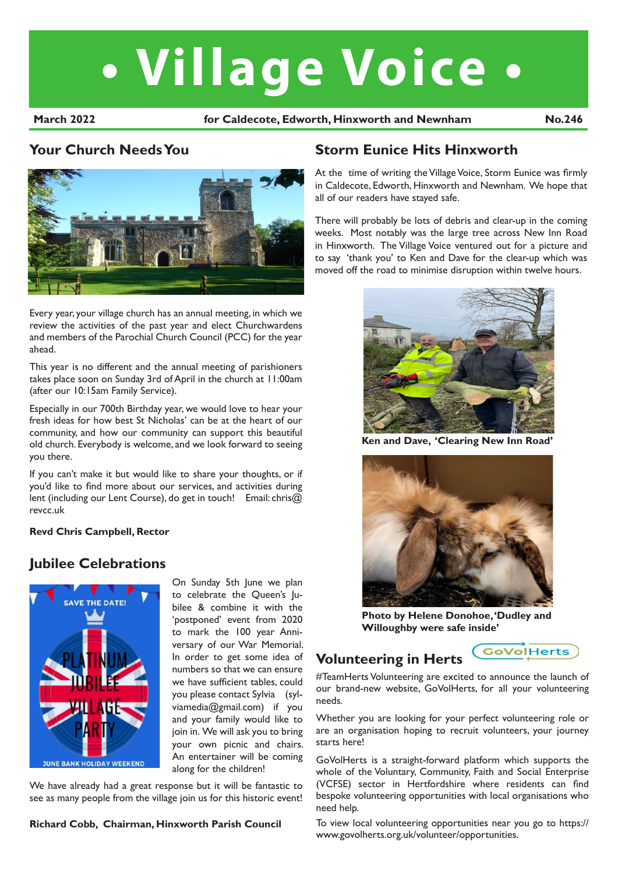# **• Village Voice •**

March 2022 **hotabook for Caldecote, Edworth, Hinxworth and Newnham** No.246

#### l **Your Church Needs You**



Every year, your village church has an annual meeting, in which we review the activities of the past year and elect Churchwardens and members of the Parochial Church Council (PCC) for the year ahead.

This year is no different and the annual meeting of parishioners takes place soon on Sunday 3rd of April in the church at 11:00am (after our 10:15am Family Service).

Especially in our 700th Birthday year, we would love to hear your fresh ideas for how best St Nicholas' can be at the heart of our community, and how our community can support this beautiful old church. Everybody is welcome, and we look forward to seeing you there.

If you can't make it but would like to share your thoughts, or if you'd like to find more about our services, and activities during lent (including our Lent Course), do get in touch! Email: chris@ revcc.uk

#### **Revd Chris Campbell, Rector**

## **Jubilee Celebrations**



On Sunday 5th June we plan to celebrate the Queen's Jubilee & combine it with the 'postponed' event from 2020 to mark the 100 year Anniversary of our War Memorial. In order to get some idea of numbers so that we can ensure we have sufficient tables, could you please contact Sylvia (sylviamedia@gmail.com) if you and your family would like to join in. We will ask you to bring your own picnic and chairs. An entertainer will be coming along for the children!

We have already had a great response but it will be fantastic to see as many people from the village join us for this historic event!

#### **Richard Cobb, Chairman, Hinxworth Parish Council**

## **Storm Eunice Hits Hinxworth**

At the time of writing the Village Voice, Storm Eunice was firmly in Caldecote, Edworth, Hinxworth and Newnham. We hope that all of our readers have stayed safe.

There will probably be lots of debris and clear-up in the coming weeks. Most notably was the large tree across New Inn Road in Hinxworth. The Village Voice ventured out for a picture and to say 'thank you' to Ken and Dave for the clear-up which was moved off the road to minimise disruption within twelve hours.



**Ken and Dave, 'Clearing New Inn Road'**



**Photo by Helene Donohoe, 'Dudley and Willoughby were safe inside'**

#### GoVolHerts **Volunteering in Herts**

#TeamHerts Volunteering are excited to announce the launch of our brand-new website, GoVolHerts, for all your volunteering needs.

Whether you are looking for your perfect volunteering role or are an organisation hoping to recruit volunteers, your journey starts here!

GoVolHerts is a straight-forward platform which supports the whole of the Voluntary, Community, Faith and Social Enterprise (VCFSE) sector in Hertfordshire where residents can find bespoke volunteering opportunities with local organisations who need help.

To view local volunteering opportunities near you go to https:// www.govolherts.org.uk/volunteer/opportunities.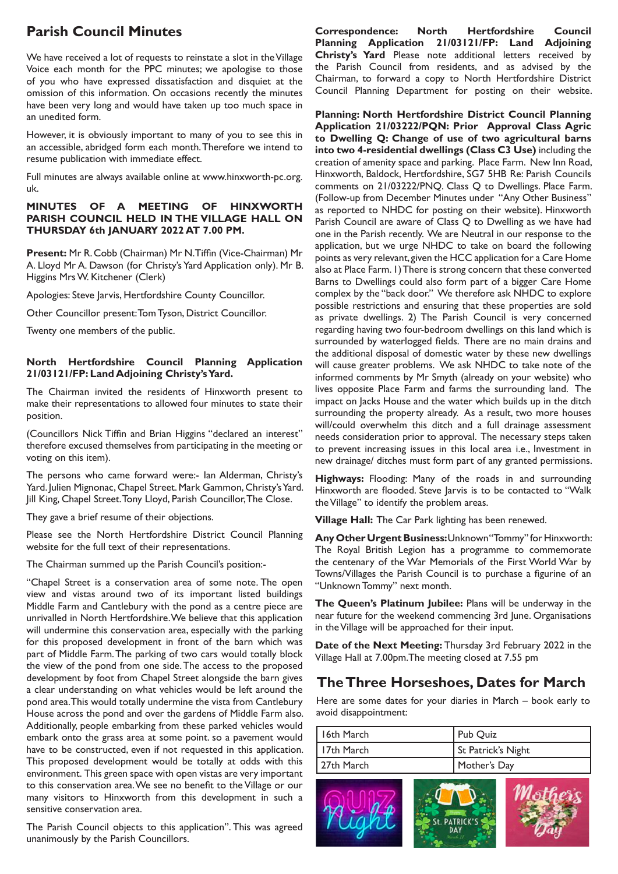# **Parish Council Minutes**

We have received a lot of requests to reinstate a slot in the Village Voice each month for the PPC minutes; we apologise to those of you who have expressed dissatisfaction and disquiet at the omission of this information. On occasions recently the minutes have been very long and would have taken up too much space in an unedited form.

However, it is obviously important to many of you to see this in an accessible, abridged form each month. Therefore we intend to resume publication with immediate effect.

Full minutes are always available online at www.hinxworth-pc.org. uk.

#### **MINUTES OF A MEETING OF HINXWORTH PARISH COUNCIL HELD IN THE VILLAGE HALL ON THURSDAY 6th JANUARY 2022 AT 7.00 PM.**

**Present:** Mr R. Cobb (Chairman) Mr N. Tiffin (Vice-Chairman) Mr A. Lloyd Mr A. Dawson (for Christy's Yard Application only). Mr B. Higgins Mrs W. Kitchener (Clerk)

Apologies: Steve Jarvis, Hertfordshire County Councillor.

Other Councillor present: Tom Tyson, District Councillor.

Twenty one members of the public.

#### **North Hertfordshire Council Planning Application 21/03121/FP: Land Adjoining Christy's Yard.**

The Chairman invited the residents of Hinxworth present to make their representations to allowed four minutes to state their position.

(Councillors Nick Tiffin and Brian Higgins "declared an interest" therefore excused themselves from participating in the meeting or voting on this item).

The persons who came forward were:- Ian Alderman, Christy's Yard. Julien Mignonac, Chapel Street. Mark Gammon, Christy's Yard. Jill King, Chapel Street. Tony Lloyd, Parish Councillor, The Close.

They gave a brief resume of their objections.

Please see the North Hertfordshire District Council Planning website for the full text of their representations.

The Chairman summed up the Parish Council's position:-

"Chapel Street is a conservation area of some note. The open view and vistas around two of its important listed buildings Middle Farm and Cantlebury with the pond as a centre piece are unrivalled in North Hertfordshire. We believe that this application will undermine this conservation area, especially with the parking for this proposed development in front of the barn which was part of Middle Farm. The parking of two cars would totally block the view of the pond from one side. The access to the proposed development by foot from Chapel Street alongside the barn gives a clear understanding on what vehicles would be left around the pond area. This would totally undermine the vista from Cantlebury House across the pond and over the gardens of Middle Farm also. Additionally, people embarking from these parked vehicles would embark onto the grass area at some point. so a pavement would have to be constructed, even if not requested in this application. This proposed development would be totally at odds with this environment. This green space with open vistas are very important to this conservation area. We see no benefit to the Village or our many visitors to Hinxworth from this development in such a sensitive conservation area.

The Parish Council objects to this application". This was agreed unanimously by the Parish Councillors.

**Correspondence: North Hertfordshire Council Planning Application 21/03121/FP: Land Adjoining Christy's Yard** Please note additional letters received by the Parish Council from residents, and as advised by the Chairman, to forward a copy to North Hertfordshire District Council Planning Department for posting on their website.

**Planning: North Hertfordshire District Council Planning Application 21/03222/PQN: Prior Approval Class Agric to Dwelling Q: Change of use of two agricultural barns into two 4-residential dwellings (Class C3 Use)** including the creation of amenity space and parking. Place Farm. New Inn Road, Hinxworth, Baldock, Hertfordshire, SG7 5HB Re: Parish Councils comments on 21/03222/PNQ. Class Q to Dwellings. Place Farm. (Follow-up from December Minutes under "Any Other Business" as reported to NHDC for posting on their website). Hinxworth Parish Council are aware of Class Q to Dwelling as we have had one in the Parish recently. We are Neutral in our response to the application, but we urge NHDC to take on board the following points as very relevant, given the HCC application for a Care Home also at Place Farm. 1) There is strong concern that these converted Barns to Dwellings could also form part of a bigger Care Home complex by the "back door." We therefore ask NHDC to explore possible restrictions and ensuring that these properties are sold as private dwellings. 2) The Parish Council is very concerned regarding having two four-bedroom dwellings on this land which is surrounded by waterlogged fields. There are no main drains and the additional disposal of domestic water by these new dwellings will cause greater problems. We ask NHDC to take note of the informed comments by Mr Smyth (already on your website) who lives opposite Place Farm and farms the surrounding land. The impact on Jacks House and the water which builds up in the ditch surrounding the property already. As a result, two more houses will/could overwhelm this ditch and a full drainage assessment needs consideration prior to approval. The necessary steps taken to prevent increasing issues in this local area i.e., Investment in new drainage/ ditches must form part of any granted permissions.

**Highways:** Flooding: Many of the roads in and surrounding Hinxworth are flooded. Steve Jarvis is to be contacted to "Walk the Village" to identify the problem areas.

**Village Hall:** The Car Park lighting has been renewed.

**Any Other Urgent Business:** Unknown "Tommy" for Hinxworth: The Royal British Legion has a programme to commemorate the centenary of the War Memorials of the First World War by Towns/Villages the Parish Council is to purchase a figurine of an "Unknown Tommy" next month.

**The Queen's Platinum Jubilee:** Plans will be underway in the near future for the weekend commencing 3rd June. Organisations in the Village will be approached for their input.

**Date of the Next Meeting:** Thursday 3rd February 2022 in the Village Hall at 7.00pm.The meeting closed at 7.55 pm

# **The Three Horseshoes, Dates for March**

Here are some dates for your diaries in March – book early to avoid disappointment:

| 116th March  | Pub Quiz           |  |
|--------------|--------------------|--|
| l 17th March | St Patrick's Night |  |
| l 27th March | Mother's Day       |  |